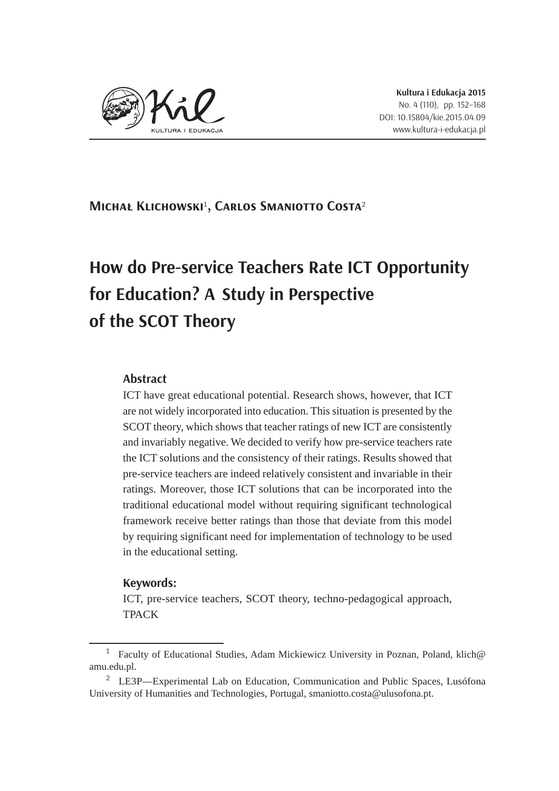

**Michał Klichowski**<sup>1</sup> **, Carlos Smaniotto Costa**<sup>2</sup>

# **How do Pre-service Teachers Rate ICT Opportunity for Education?A Study in Perspective of the SCOT Theory**

## **Abstract**

ICT have great educational potential. Research shows, however, that ICT are not widely incorporated into education. This situation is presented by the SCOT theory, which shows that teacher ratings of new ICT are consistently and invariably negative. We decided to verify how pre-service teachers rate the ICT solutions and the consistency of their ratings. Results showed that pre-service teachers are indeed relatively consistent and invariable in their ratings. Moreover, those ICT solutions that can be incorporated into the traditional educational model without requiring significant technological framework receive better ratings than those that deviate from this model by requiring significant need for implementation of technology to be used in the educational setting.

### **Keywords:**

ICT, pre-service teachers, SCOT theory, techno-pedagogical approach, TPACK

<sup>&</sup>lt;sup>1</sup> Faculty of Educational Studies, Adam Mickiewicz University in Poznan, Poland, klich $@$ amu.edu.pl.

 $2$  LE3P—Experimental Lab on Education, Communication and Public Spaces, Lusófona University of Humanities and Technologies, Portugal, smaniotto.costa@ulusofona.pt.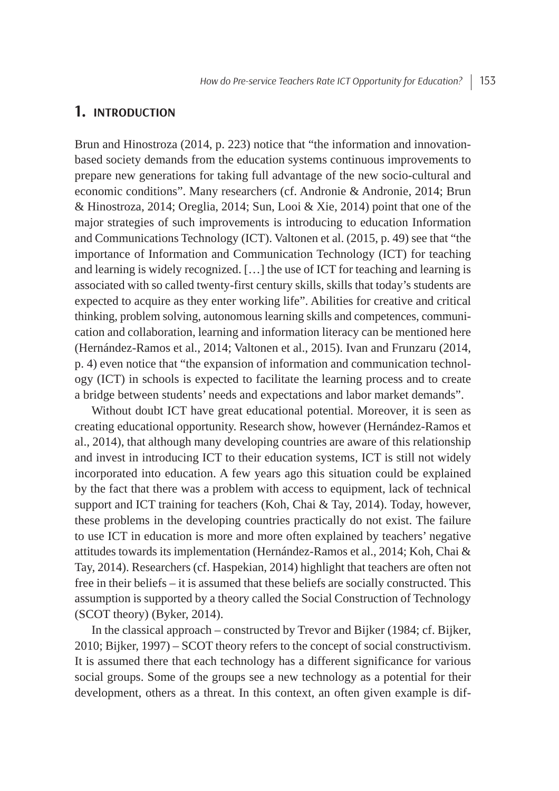## **1. INTRODUCTION**

Brun and Hinostroza (2014, p. 223) notice that "the information and innovationbased society demands from the education systems continuous improvements to prepare new generations for taking full advantage of the new socio-cultural and economic conditions". Many researchers (cf. Andronie & Andronie, 2014; Brun & Hinostroza, 2014; Oreglia, 2014; Sun, Looi & Xie, 2014) point that one of the major strategies of such improvements is introducing to education Information and Communications Technology (ICT). Valtonen et al. (2015, p. 49) see that "the importance of Information and Communication Technology (ICT) for teaching and learning is widely recognized. […] the use of ICT for teaching and learning is associated with so called twenty-first century skills, skills that today's students are expected to acquire as they enter working life". Abilities for creative and critical thinking, problem solving, autonomous learning skills and competences, communication and collaboration, learning and information literacy can be mentioned here (Hernández-Ramos et al., 2014; Valtonen et al., 2015). Ivan and Frunzaru (2014, p. 4) even notice that "the expansion of information and communication technology (ICT) in schools is expected to facilitate the learning process and to create a bridge between students' needs and expectations and labor market demands".

Without doubt ICT have great educational potential. Moreover, it is seen as creating educational opportunity. Research show, however (Hernández-Ramos et al., 2014), that although many developing countries are aware of this relationship and invest in introducing ICT to their education systems, ICT is still not widely incorporated into education. A few years ago this situation could be explained by the fact that there was a problem with access to equipment, lack of technical support and ICT training for teachers (Koh, Chai & Tay, 2014). Today, however, these problems in the developing countries practically do not exist. The failure to use ICT in education is more and more often explained by teachers' negative attitudes towards its implementation (Hernández-Ramos et al., 2014; Koh, Chai & Tay, 2014). Researchers (cf. Haspekian, 2014) highlight that teachers are often not free in their beliefs – it is assumed that these beliefs are socially constructed. This assumption is supported by a theory called the Social Construction of Technology (SCOT theory) (Byker, 2014).

In the classical approach – constructed by Trevor and Bijker (1984; cf. Bijker, 2010; Bijker, 1997) – SCOT theory refers to the concept of social constructivism. It is assumed there that each technology has a different significance for various social groups. Some of the groups see a new technology as a potential for their development, others as a threat. In this context, an often given example is dif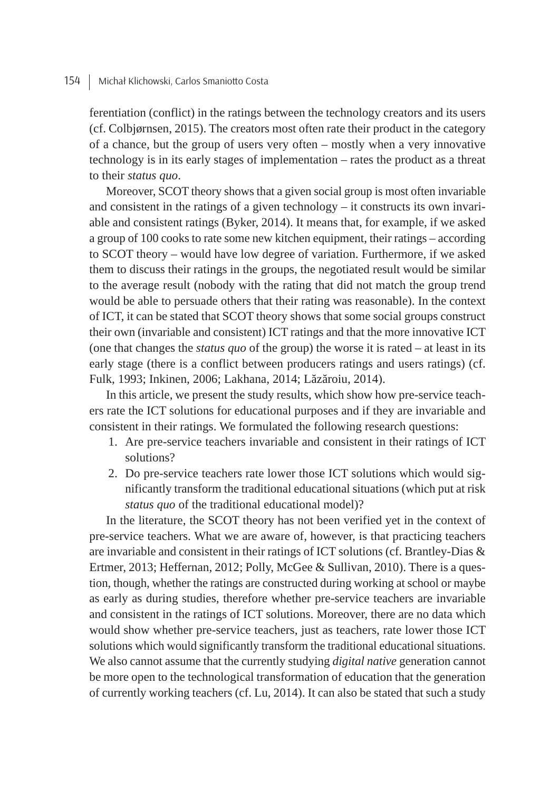ferentiation (conflict) in the ratings between the technology creators and its users (cf. Colbjørnsen, 2015). The creators most often rate their product in the category of a chance, but the group of users very often – mostly when a very innovative technology is in its early stages of implementation – rates the product as a threat to their *status quo*.

Moreover, SCOT theory shows that a given social group is most often invariable and consistent in the ratings of a given technology – it constructs its own invariable and consistent ratings (Byker, 2014). It means that, for example, if we asked a group of 100 cooks to rate some new kitchen equipment, their ratings – according to SCOT theory – would have low degree of variation. Furthermore, if we asked them to discuss their ratings in the groups, the negotiated result would be similar to the average result (nobody with the rating that did not match the group trend would be able to persuade others that their rating was reasonable). In the context of ICT, it can be stated that SCOT theory shows that some social groups construct their own (invariable and consistent) ICT ratings and that the more innovative ICT (one that changes the *status quo* of the group) the worse it is rated – at least in its early stage (there is a conflict between producers ratings and users ratings) (cf. Fulk, 1993; Inkinen, 2006; Lakhana, 2014; Lăzăroiu, 2014).

In this article, we present the study results, which show how pre-service teachers rate the ICT solutions for educational purposes and if they are invariable and consistent in their ratings. We formulated the following research questions:

- 1. Are pre-service teachers invariable and consistent in their ratings of ICT solutions?
- 2. Do pre-service teachers rate lower those ICT solutions which would significantly transform the traditional educational situations (which put at risk *status quo* of the traditional educational model)?

In the literature, the SCOT theory has not been verified yet in the context of pre-service teachers. What we are aware of, however, is that practicing teachers are invariable and consistent in their ratings of ICT solutions (cf. Brantley-Dias & Ertmer, 2013; Heffernan, 2012; Polly, McGee & Sullivan, 2010). There is a question, though, whether the ratings are constructed during working at school or maybe as early as during studies, therefore whether pre-service teachers are invariable and consistent in the ratings of ICT solutions. Moreover, there are no data which would show whether pre-service teachers, just as teachers, rate lower those ICT solutions which would significantly transform the traditional educational situations. We also cannot assume that the currently studying *digital native* generation cannot be more open to the technological transformation of education that the generation of currently working teachers (cf. Lu, 2014). It can also be stated that such a study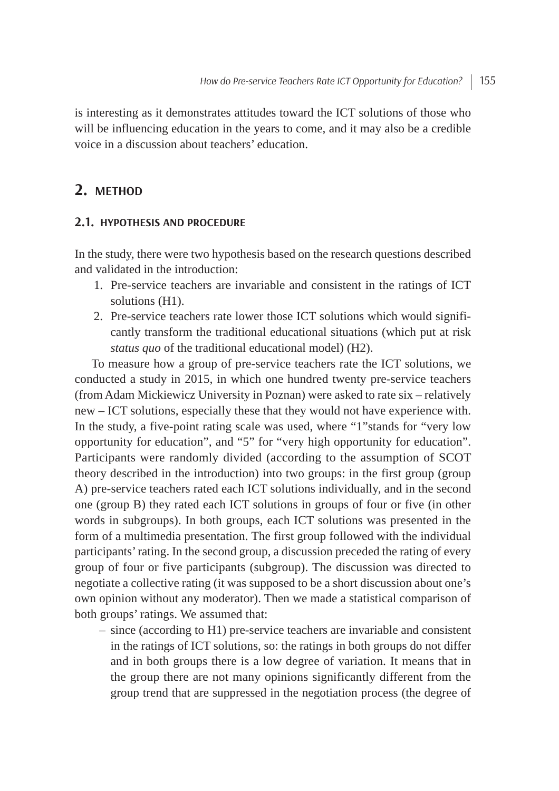is interesting as it demonstrates attitudes toward the ICT solutions of those who will be influencing education in the years to come, and it may also be a credible voice in a discussion about teachers' education.

# **2. METHOD**

#### **2.1. HYPOTHESIS AND PROCEDURE**

In the study, there were two hypothesis based on the research questions described and validated in the introduction:

- 1. Pre-service teachers are invariable and consistent in the ratings of ICT solutions (H1).
- 2. Pre-service teachers rate lower those ICT solutions which would significantly transform the traditional educational situations (which put at risk *status quo* of the traditional educational model) (H2).

To measure how a group of pre-service teachers rate the ICT solutions, we conducted a study in 2015, in which one hundred twenty pre-service teachers (from Adam Mickiewicz University in Poznan) were asked to rate six – relatively new – ICT solutions, especially these that they would not have experience with. In the study, a five-point rating scale was used, where "1"stands for "very low opportunity for education", and "5" for "very high opportunity for education". Participants were randomly divided (according to the assumption of SCOT theory described in the introduction) into two groups: in the first group (group A) pre-service teachers rated each ICT solutions individually, and in the second one (group B) they rated each ICT solutions in groups of four or five (in other words in subgroups). In both groups, each ICT solutions was presented in the form of a multimedia presentation. The first group followed with the individual participants'rating. In the second group, a discussion preceded the rating of every group of four or five participants (subgroup). The discussion was directed to negotiate a collective rating (it was supposed to be a short discussion about one's own opinion without any moderator). Then we made a statistical comparison of both groups' ratings. We assumed that:

– since (according to H1) pre-service teachers are invariable and consistent in the ratings of ICT solutions, so: the ratings in both groups do not differ and in both groups there is a low degree of variation. It means that in the group there are not many opinions significantly different from the group trend that are suppressed in the negotiation process (the degree of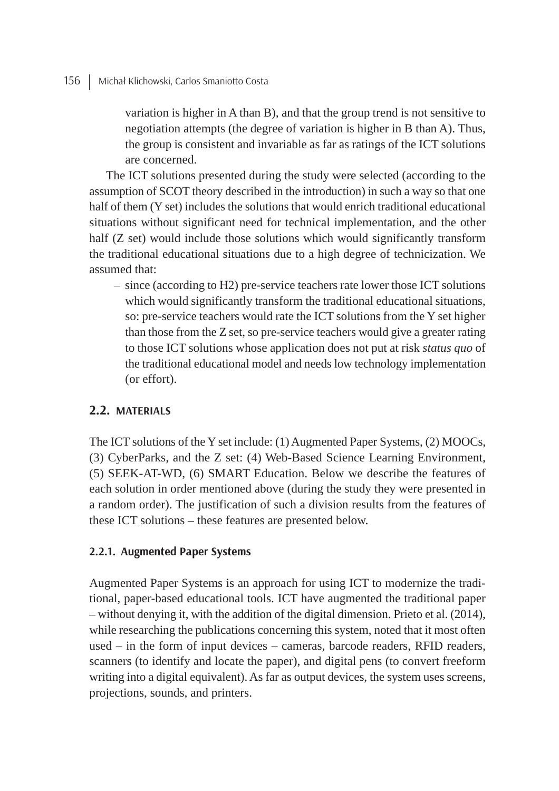variation is higher in A than B), and that the group trend is not sensitive to negotiation attempts (the degree of variation is higher in B than A). Thus, the group is consistent and invariable as far as ratings of the ICT solutions are concerned.

The ICT solutions presented during the study were selected (according to the assumption of SCOT theory described in the introduction) in such a way so that one half of them (Y set) includes the solutions that would enrich traditional educational situations without significant need for technical implementation, and the other half (Z set) would include those solutions which would significantly transform the traditional educational situations due to a high degree of technicization. We assumed that:

– since (according to H2) pre-service teachers rate lower those ICT solutions which would significantly transform the traditional educational situations, so: pre-service teachers would rate the ICT solutions from the Y set higher than those from the Z set, so pre-service teachers would give a greater rating to those ICT solutions whose application does not put at risk *status quo* of the traditional educational model and needs low technology implementation (or effort).

## **2.2. MATERIALS**

The ICT solutions of the Y set include: (1) Augmented Paper Systems, (2) MOOCs, (3) CyberParks, and the Z set:  $(4)$  Web-Based Science Learning Environment, (5) SEEK-AT-WD, (6) SMART Education. Below we describe the features of each solution in order mentioned above (during the study they were presented in a random order). The justification of such a division results from the features of these ICT solutions – these features are presented below.

### **2.2.1. Augmented Paper Systems**

Augmented Paper Systems is an approach for using ICT to modernize the traditional, paper-based educational tools. ICT have augmented the traditional paper – without denying it, with the addition of the digital dimension. Prieto et al. (2014), while researching the publications concerning this system, noted that it most often used – in the form of input devices – cameras, barcode readers, RFID readers, scanners (to identify and locate the paper), and digital pens (to convert freeform writing into a digital equivalent). As far as output devices, the system uses screens, projections, sounds, and printers.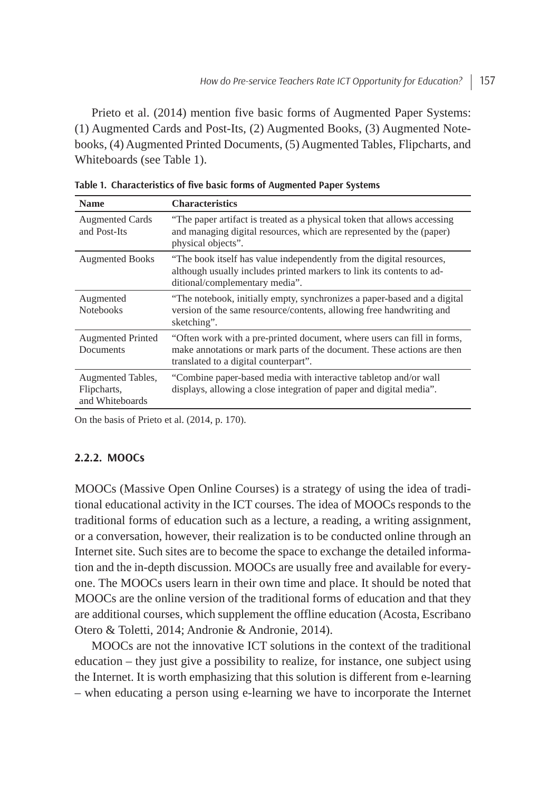Prieto et al. (2014) mention five basic forms of Augmented Paper Systems: (1) Augmented Cards and Post-Its, (2) Augmented Books, (3) Augmented Notebooks, (4) Augmented Printed Documents, (5) Augmented Tables, Flipcharts, and Whiteboards (see Table 1).

| <b>Name</b>                                         | <b>Characteristics</b>                                                                                                                                                                     |
|-----------------------------------------------------|--------------------------------------------------------------------------------------------------------------------------------------------------------------------------------------------|
| <b>Augmented Cards</b><br>and Post-Its              | "The paper artifact is treated as a physical token that allows accessing<br>and managing digital resources, which are represented by the (paper)<br>physical objects".                     |
| <b>Augmented Books</b>                              | "The book itself has value independently from the digital resources,<br>although usually includes printed markers to link its contents to ad-<br>ditional/complementary media".            |
| Augmented<br><b>Notebooks</b>                       | "The notebook, initially empty, synchronizes a paper-based and a digital<br>version of the same resource/contents, allowing free handwriting and<br>sketching".                            |
| <b>Augmented Printed</b><br><b>Documents</b>        | "Often work with a pre-printed document, where users can fill in forms,<br>make annotations or mark parts of the document. These actions are then<br>translated to a digital counterpart". |
| Augmented Tables,<br>Flipcharts,<br>and Whiteboards | "Combine paper-based media with interactive tabletop and/or wall<br>displays, allowing a close integration of paper and digital media".                                                    |

**Table 1. Characteristics of fi ve basic forms of Augmented Paper Systems**

On the basis of Prieto et al. (2014, p. 170).

### **2.2.2. MOOCs**

MOOCs (Massive Open Online Courses) is a strategy of using the idea of traditional educational activity in the ICT courses. The idea of MOOCs responds to the traditional forms of education such as a lecture, a reading, a writing assignment, or a conversation, however, their realization is to be conducted online through an Internet site. Such sites are to become the space to exchange the detailed information and the in-depth discussion. MOOCs are usually free and available for everyone. The MOOCs users learn in their own time and place. It should be noted that MOOCs are the online version of the traditional forms of education and that they are additional courses, which supplement the offline education (Acosta, Escribano Otero & Toletti, 2014; Andronie & Andronie, 2014).

MOOCs are not the innovative ICT solutions in the context of the traditional education – they just give a possibility to realize, for instance, one subject using the Internet. It is worth emphasizing that this solution is different from e-learning – when educating a person using e-learning we have to incorporate the Internet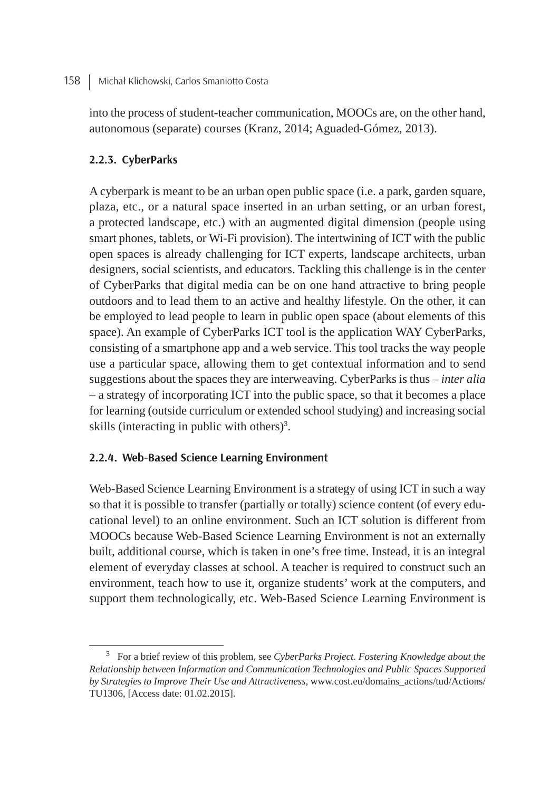#### 158 | Michał Klichowski, Carlos Smaniotto Costa

into the process of student-teacher communication, MOOCs are, on the other hand, autonomous (separate) courses (Kranz, 2014; Aguaded-Gómez, 2013).

## **2.2.3. CyberParks**

A cyberpark is meant to be an urban open public space (i.e. a park, garden square, plaza, etc., or a natural space inserted in an urban setting, or an urban forest, a protected landscape, etc.) with an augmented digital dimension (people using smart phones, tablets, or Wi-Fi provision). The intertwining of ICT with the public open spaces is already challenging for ICT experts, landscape architects, urban designers, social scientists, and educators. Tackling this challenge is in the center of CyberParks that digital media can be on one hand attractive to bring people outdoors and to lead them to an active and healthy lifestyle. On the other, it can be employed to lead people to learn in public open space (about elements of this space). An example of CyberParks ICT tool is the application WAY CyberParks, consisting of a smartphone app and a web service. This tool tracks the way people use a particular space, allowing them to get contextual information and to send suggestions about the spaces they are interweaving. CyberParks is thus – *inter alia* – a strategy of incorporating ICT into the public space, so that it becomes a place for learning (outside curriculum or extended school studying) and increasing social skills (interacting in public with others)<sup>3</sup>.

## **2.2.4. Web-Based Science Learning Environment**

Web-Based Science Learning Environment is a strategy of using ICT in such a way so that it is possible to transfer (partially or totally) science content (of every educational level) to an online environment. Such an ICT solution is different from MOOCs because Web-Based Science Learning Environment is not an externally built, additional course, which is taken in one's free time. Instead, it is an integral element of everyday classes at school. A teacher is required to construct such an environment, teach how to use it, organize students' work at the computers, and support them technologically, etc. Web-Based Science Learning Environment is

<sup>3</sup> For a brief review of this problem, see *CyberParks Project. Fostering Knowledge about the Relationship between Information and Communication Technologies and Public Spaces Supported by Strategies to Improve Their Use and Attractiveness*, www.cost.eu/domains\_actions/tud/Actions/ TU1306, [Access date: 01.02.2015].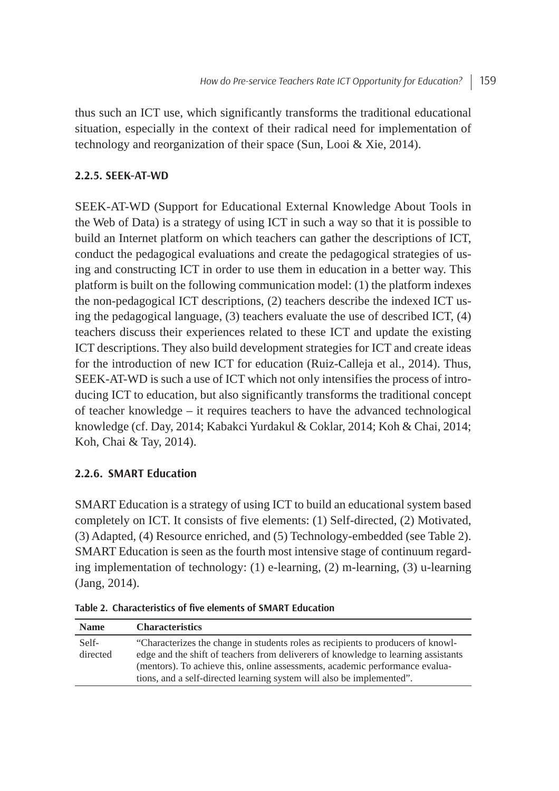thus such an ICT use, which significantly transforms the traditional educational situation, especially in the context of their radical need for implementation of technology and reorganization of their space (Sun, Looi & Xie, 2014).

## **2.2.5. SEEK-AT-WD**

SEEK-AT-WD (Support for Educational External Knowledge About Tools in the Web of Data) is a strategy of using ICT in such a way so that it is possible to build an Internet platform on which teachers can gather the descriptions of ICT, conduct the pedagogical evaluations and create the pedagogical strategies of using and constructing ICT in order to use them in education in a better way. This platform is built on the following communication model: (1) the platform indexes the non-pedagogical ICT descriptions, (2) teachers describe the indexed ICT using the pedagogical language, (3) teachers evaluate the use of described ICT, (4) teachers discuss their experiences related to these ICT and update the existing ICT descriptions. They also build development strategies for ICT and create ideas for the introduction of new ICT for education (Ruiz-Calleja et al., 2014). Thus, SEEK-AT-WD is such a use of ICT which not only intensifies the process of introducing ICT to education, but also significantly transforms the traditional concept of teacher knowledge – it requires teachers to have the advanced technological knowledge (cf. Day, 2014; Kabakci Yurdakul & Coklar, 2014; Koh & Chai, 2014; Koh, Chai & Tay, 2014).

## **2.2.6. SMART Education**

SMART Education is a strategy of using ICT to build an educational system based completely on ICT. It consists of five elements: (1) Self-directed, (2) Motivated, (3) Adapted, (4) Resource enriched, and (5) Technology-embedded (see Table 2). SMART Education is seen as the fourth most intensive stage of continuum regarding implementation of technology:  $(1)$  e-learning,  $(2)$  m-learning,  $(3)$  u-learning (Jang, 2014).

| <b>Name</b> | <b>Characteristics</b>                                                             |
|-------------|------------------------------------------------------------------------------------|
| Self-       | "Characterizes the change in students roles as recipients to producers of knowl-   |
| directed    | edge and the shift of teachers from deliverers of knowledge to learning assistants |
|             | (mentors). To achieve this, online assessments, academic performance evalua-       |
|             | tions, and a self-directed learning system will also be implemented".              |

**Table 2. Characteristics of fi ve elements of SMART Education**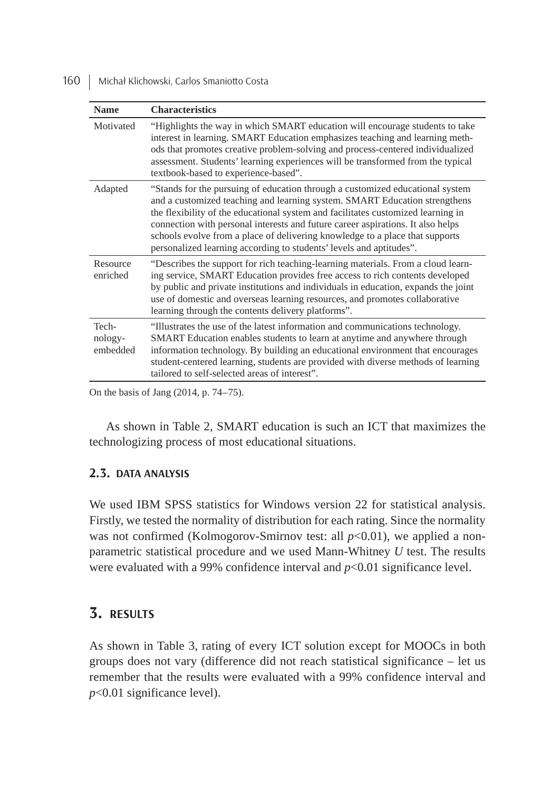160 | Michał Klichowski, Carlos Smaniotto Costa

| <b>Name</b>                  | <b>Characteristics</b>                                                                                                                                                                                                                                                                                                                                                                                                                                                                    |
|------------------------------|-------------------------------------------------------------------------------------------------------------------------------------------------------------------------------------------------------------------------------------------------------------------------------------------------------------------------------------------------------------------------------------------------------------------------------------------------------------------------------------------|
| Motivated                    | "Highlights the way in which SMART education will encourage students to take<br>interest in learning. SMART Education emphasizes teaching and learning meth-<br>ods that promotes creative problem-solving and process-centered individualized<br>assessment. Students' learning experiences will be transformed from the typical<br>textbook-based to experience-based".                                                                                                                 |
| Adapted                      | "Stands for the pursuing of education through a customized educational system<br>and a customized teaching and learning system. SMART Education strengthens<br>the flexibility of the educational system and facilitates customized learning in<br>connection with personal interests and future career aspirations. It also helps<br>schools evolve from a place of delivering knowledge to a place that supports<br>personalized learning according to students' levels and aptitudes". |
| Resource<br>enriched         | "Describes the support for rich teaching-learning materials. From a cloud learn-<br>ing service, SMART Education provides free access to rich contents developed<br>by public and private institutions and individuals in education, expands the joint<br>use of domestic and overseas learning resources, and promotes collaborative<br>learning through the contents delivery platforms".                                                                                               |
| Tech-<br>nology-<br>embedded | "Illustrates the use of the latest information and communications technology.<br>SMART Education enables students to learn at anytime and anywhere through<br>information technology. By building an educational environment that encourages<br>student-centered learning, students are provided with diverse methods of learning<br>tailored to self-selected areas of interest".                                                                                                        |

On the basis of Jang (2014, p. 74–75).

As shown in Table 2, SMART education is such an ICT that maximizes the technologizing process of most educational situations.

### **2.3. DATA ANALYSIS**

We used IBM SPSS statistics for Windows version 22 for statistical analysis. Firstly, we tested the normality of distribution for each rating. Since the normality was not confirmed (Kolmogorov-Smirnov test: all  $p$ <0.01), we applied a nonparametric statistical procedure and we used Mann-Whitney *U* test. The results were evaluated with a 99% confidence interval and *p*<0.01 significance level.

## **3. RESULTS**

As shown in Table 3, rating of every ICT solution except for MOOCs in both groups does not vary (difference did not reach statistical significance – let us remember that the results were evaluated with a 99% confidence interval and *p*<0.01 significance level).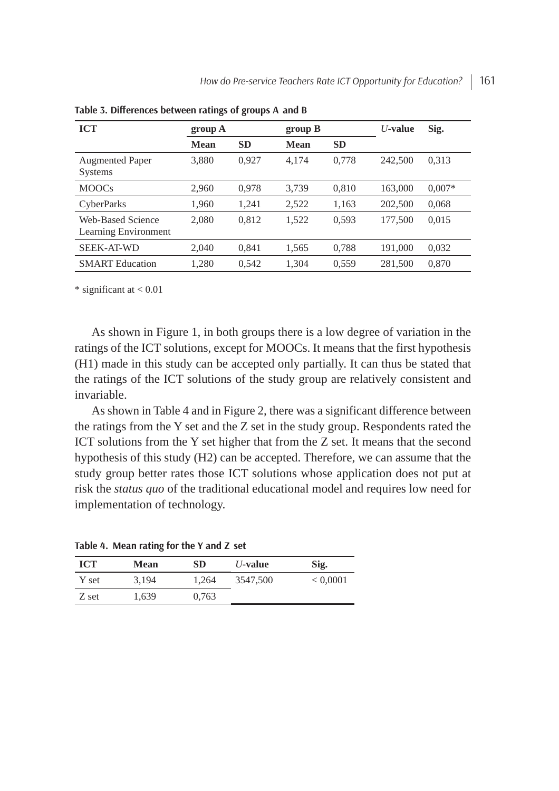| <b>ICT</b>                                       | group A<br>group B |           |       | $U$ -value | Sig.    |          |
|--------------------------------------------------|--------------------|-----------|-------|------------|---------|----------|
|                                                  | <b>Mean</b>        | <b>SD</b> | Mean  | <b>SD</b>  |         |          |
| <b>Augmented Paper</b><br><b>Systems</b>         | 3,880              | 0,927     | 4,174 | 0,778      | 242,500 | 0,313    |
| <b>MOOCs</b>                                     | 2,960              | 0,978     | 3,739 | 0,810      | 163,000 | $0,007*$ |
| <b>CyberParks</b>                                | 1,960              | 1,241     | 2,522 | 1,163      | 202,500 | 0,068    |
| Web-Based Science<br><b>Learning Environment</b> | 2,080              | 0.812     | 1,522 | 0,593      | 177,500 | 0,015    |
| <b>SEEK-AT-WD</b>                                | 2,040              | 0,841     | 1,565 | 0,788      | 191,000 | 0,032    |
| <b>SMART</b> Education                           | 1,280              | 0,542     | 1,304 | 0,559      | 281,500 | 0,870    |

**Table 3. Diff erences between ratings of groups A and B**

\* significant at < 0.01

As shown in Figure 1, in both groups there is a low degree of variation in the ratings of the ICT solutions, except for MOOCs. It means that the first hypothesis (H1) made in this study can be accepted only partially. It can thus be stated that the ratings of the ICT solutions of the study group are relatively consistent and invariable.

As shown in Table 4 and in Figure 2, there was a significant difference between the ratings from the Y set and the Z set in the study group. Respondents rated the ICT solutions from the Y set higher that from the Z set. It means that the second hypothesis of this study (H2) can be accepted. Therefore, we can assume that the study group better rates those ICT solutions whose application does not put at risk the *status quo* of the traditional educational model and requires low need for implementation of technology.

**Table 4. Mean rating for the Y and Z set**

| <b>ICT</b> | Mean  | <b>SD</b> | $U$ -value | Sig.         |
|------------|-------|-----------|------------|--------------|
| Y set      | 3.194 | 1.264     | 3547,500   | ${}< 0,0001$ |
| Z set      | 1,639 | 0,763     |            |              |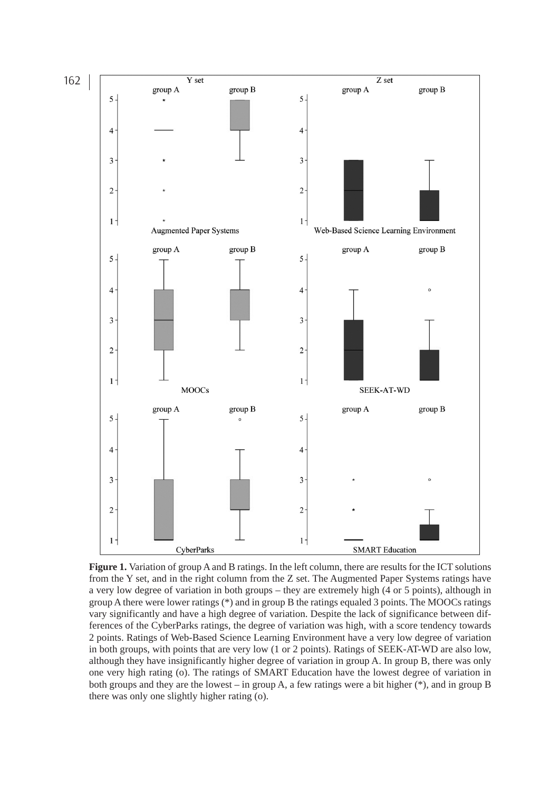

**Figure 1.** Variation of group A and B ratings. In the left column, there are results for the ICT solutions from the Y set, and in the right column from the Z set. The Augmented Paper Systems ratings have a very low degree of variation in both groups – they are extremely high (4 or 5 points), although in group A there were lower ratings (\*) and in group B the ratings equaled 3 points. The MOOCs ratings vary significantly and have a high degree of variation. Despite the lack of significance between differences of the CyberParks ratings, the degree of variation was high, with a score tendency towards 2 points. Ratings of Web-Based Science Learning Environment have a very low degree of variation in both groups, with points that are very low (1 or 2 points). Ratings of SEEK-AT-WD are also low, although they have insignificantly higher degree of variation in group A. In group B, there was only one very high rating (o). The ratings of SMART Education have the lowest degree of variation in both groups and they are the lowest – in group A, a few ratings were a bit higher (\*), and in group B there was only one slightly higher rating (o).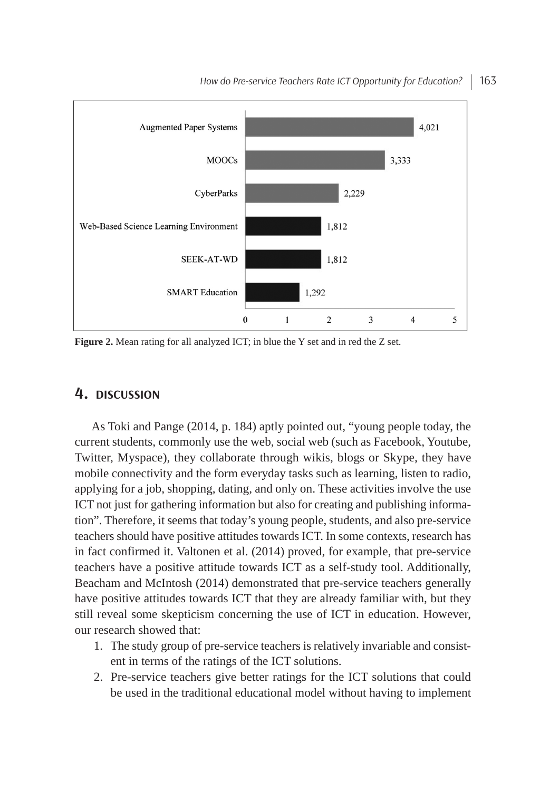

How do Pre-service Teachers Rate ICT Opportunity for Education? | 163

**Figure 2.** Mean rating for all analyzed ICT; in blue the Y set and in red the Z set.

### **4. DISCUSSION**

As Toki and Pange (2014, p. 184) aptly pointed out, "young people today, the current students, commonly use the web, social web (such as Facebook, Youtube, Twitter, Myspace), they collaborate through wikis, blogs or Skype, they have mobile connectivity and the form everyday tasks such as learning, listen to radio, applying for a job, shopping, dating, and only on. These activities involve the use ICT not just for gathering information but also for creating and publishing information". Therefore, it seems that today's young people, students, and also pre-service teachers should have positive attitudes towards ICT. In some contexts, research has in fact confirmed it. Valtonen et al. (2014) proved, for example, that pre-service teachers have a positive attitude towards ICT as a self-study tool. Additionally, Beacham and McIntosh (2014) demonstrated that pre-service teachers generally have positive attitudes towards ICT that they are already familiar with, but they still reveal some skepticism concerning the use of ICT in education. However, our research showed that:

- 1. The study group of pre-service teachers is relatively invariable and consistent in terms of the ratings of the ICT solutions.
- 2. Pre-service teachers give better ratings for the ICT solutions that could be used in the traditional educational model without having to implement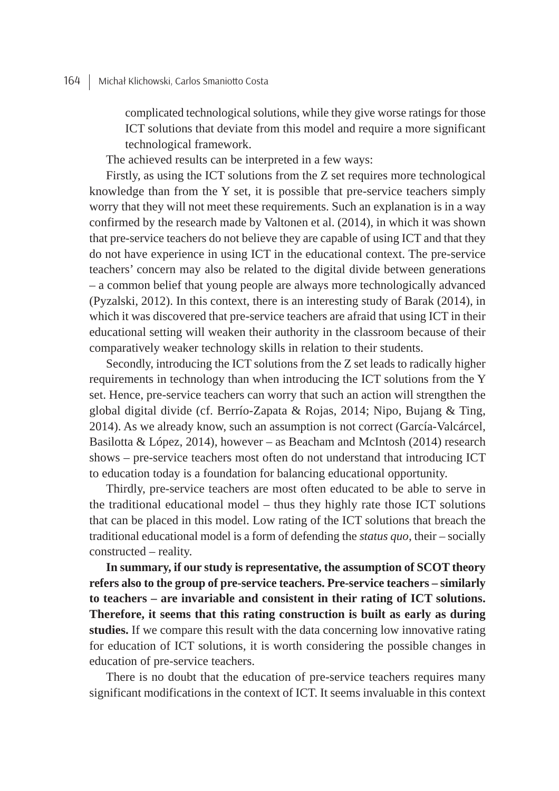complicated technological solutions, while they give worse ratings for those ICT solutions that deviate from this model and require a more significant technological framework.

The achieved results can be interpreted in a few ways:

Firstly, as using the ICT solutions from the Z set requires more technological knowledge than from the Y set, it is possible that pre-service teachers simply worry that they will not meet these requirements. Such an explanation is in a way confirmed by the research made by Valtonen et al. (2014), in which it was shown that pre-service teachers do not believe they are capable of using ICT and that they do not have experience in using ICT in the educational context. The pre-service teachers' concern may also be related to the digital divide between generations – a common belief that young people are always more technologically advanced (Pyzalski, 2012). In this context, there is an interesting study of Barak (2014), in which it was discovered that pre-service teachers are afraid that using ICT in their educational setting will weaken their authority in the classroom because of their comparatively weaker technology skills in relation to their students.

Secondly, introducing the ICT solutions from the Z set leads to radically higher requirements in technology than when introducing the ICT solutions from the Y set. Hence, pre-service teachers can worry that such an action will strengthen the global digital divide (cf. Berrío-Zapata & Rojas, 2014; Nipo, Bujang & Ting, 2014). As we already know, such an assumption is not correct (García-Valcárcel, Basilotta & López, 2014), however – as Beacham and McIntosh (2014) research shows – pre-service teachers most often do not understand that introducing ICT to education today is a foundation for balancing educational opportunity.

Thirdly, pre-service teachers are most often educated to be able to serve in the traditional educational model – thus they highly rate those ICT solutions that can be placed in this model. Low rating of the ICT solutions that breach the traditional educational model is a form of defending the *status quo*, their – socially constructed – reality.

**In summary, if our study is representative, the assumption of SCOT theory refers also to the group of preservice teachers. Preservice teachers – similarly to teachers – are invariable and consistent in their rating of ICT solutions. Therefore, it seems that this rating construction is built as early as during studies.** If we compare this result with the data concerning low innovative rating for education of ICT solutions, it is worth considering the possible changes in education of pre-service teachers.

There is no doubt that the education of pre-service teachers requires many significant modifications in the context of ICT. It seems invaluable in this context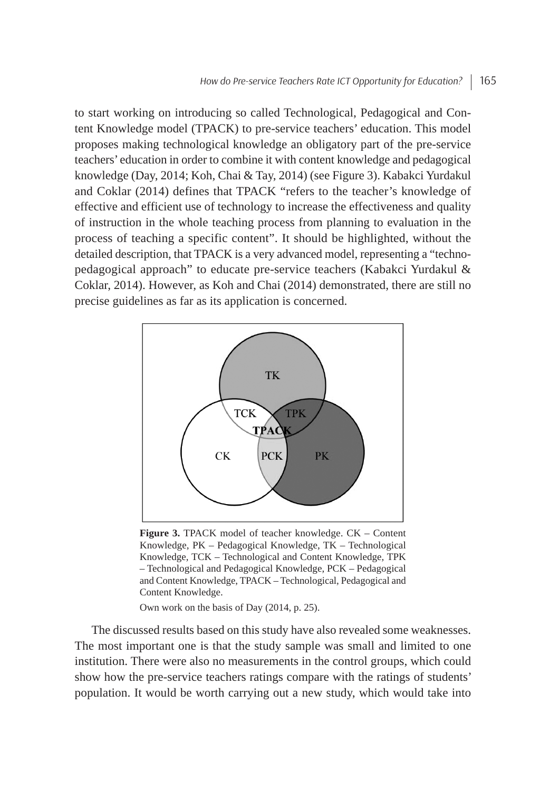to start working on introducing so called Technological, Pedagogical and Content Knowledge model (TPACK) to pre-service teachers' education. This model proposes making technological knowledge an obligatory part of the pre-service teachers' education in order to combine it with content knowledge and pedagogical knowledge (Day, 2014; Koh, Chai & Tay, 2014) (see Figure 3). Kabakci Yurdakul and Coklar (2014) defines that TPACK "refers to the teacher's knowledge of effective and efficient use of technology to increase the effectiveness and quality of instruction in the whole teaching process from planning to evaluation in the process of teaching a specific content". It should be highlighted, without the detailed description, that TPACK is a very advanced model, representing a "technopedagogical approach" to educate pre-service teachers (Kabakci Yurdakul & Coklar, 2014). However, as Koh and Chai (2014) demonstrated, there are still no precise guidelines as far as its application is concerned.



**Figure 3.** TPACK model of teacher knowledge. CK – Content Knowledge, PK – Pedagogical Knowledge, TK – Technological Knowledge, TCK – Technological and Content Knowledge, TPK – Technological and Pedagogical Knowledge, PCK – Pedagogical and Content Knowledge, TPACK – Technological, Pedagogical and Content Knowledge.

Own work on the basis of Day (2014, p. 25).

The discussed results based on this study have also revealed some weaknesses. The most important one is that the study sample was small and limited to one institution. There were also no measurements in the control groups, which could show how the pre-service teachers ratings compare with the ratings of students' population. It would be worth carrying out a new study, which would take into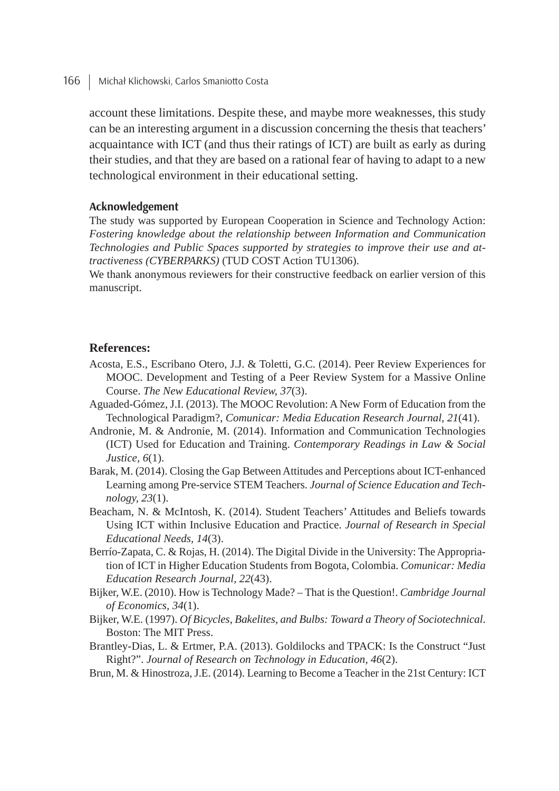166 | Michał Klichowski, Carlos Smaniotto Costa

account these limitations. Despite these, and maybe more weaknesses, this study can be an interesting argument in a discussion concerning the thesis that teachers' acquaintance with ICT (and thus their ratings of ICT) are built as early as during their studies, and that they are based on a rational fear of having to adapt to a new technological environment in their educational setting.

#### **Acknowledgement**

The study was supported by European Cooperation in Science and Technology Action: *Fostering knowledge about the relationship between Information and Communication Technologies and Public Spaces supported by strategies to improve their use and attractiveness (CYBERPARKS)* (TUD COST Action TU1306).

We thank anonymous reviewers for their constructive feedback on earlier version of this manuscript.

#### **References:**

- Acosta, E.S., Escribano Otero, J.J. & Toletti, G.C. (2014). Peer Review Experiences for MOOC. Development and Testing of a Peer Review System for a Massive Online Course. *The New Educational Review, 37*(3).
- Aguaded-Gómez, J.I. (2013). The MOOC Revolution: A New Form of Education from the Technological Paradigm?, *Comunicar: Media Education Research Journal, 21*(41).
- Andronie, M. & Andronie, M. (2014). Information and Communication Technologies (ICT) Used for Education and Training. *Contemporary Readings in Law & Social Justice, 6*(1).
- Barak, M. (2014). Closing the Gap Between Attitudes and Perceptions about ICT-enhanced Learning among Pre-service STEM Teachers. Journal of Science Education and Tech*nology, 23*(1).
- Beacham, N. & McIntosh, K. (2014). Student Teachers' Attitudes and Beliefs towards Using ICT within Inclusive Education and Practice. *Journal of Research in Special Educational Needs, 14*(3).
- Berrío-Zapata, C. & Rojas, H. (2014). The Digital Divide in the University: The Appropriation of ICT in Higher Education Students from Bogota, Colombia. *Comunicar: Media Education Research Journal, 22*(43).
- Bijker, W.E. (2010). How is Technology Made? That is the Question!. *Cambridge Journal of Economics, 34*(1).
- Bijker, W.E. (1997). *Of Bicycles, Bakelites, and Bulbs: Toward a Theory of Sociotechnical*. Boston: The MIT Press.
- Brantley-Dias, L. & Ertmer, P.A. (2013). Goldilocks and TPACK: Is the Construct "Just Right?". *Journal of Research on Technology in Education, 46*(2).
- Brun, M. & Hinostroza, J.E. (2014). Learning to Become a Teacher in the 21st Century: ICT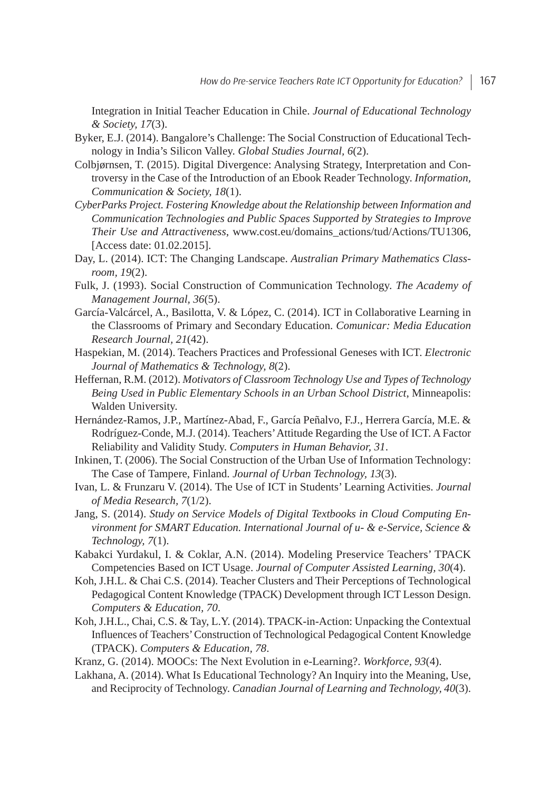Integration in Initial Teacher Education in Chile. *Journal of Educational Technology & Society, 17*(3).

- Byker, E.J. (2014). Bangalore's Challenge: The Social Construction of Educational Technology in India's Silicon Valley. *Global Studies Journal, 6*(2).
- Colbjørnsen, T. (2015). Digital Divergence: Analysing Strategy, Interpretation and Controversy in the Case of the Introduction of an Ebook Reader Technology. *Information, Communication & Society, 18*(1).
- *CyberParks Project. Fostering Knowledge about the Relationship between Information and Communication Technologies and Public Spaces Supported by Strategies to Improve Their Use and Attractiveness*, www.cost.eu/domains\_actions/tud/Actions/TU1306, [Access date: 01.02.2015].
- Day, L. (2014). ICT: The Changing Landscape. *Australian Primary Mathematics Classroom, 19*(2).
- Fulk, J. (1993). Social Construction of Communication Technology. *The Academy of Management Journal, 36*(5).
- García-Valcárcel, A., Basilotta, V. & López, C. (2014). ICT in Collaborative Learning in the Classrooms of Primary and Secondary Education. *Comunicar: Media Education Research Journal, 21*(42).
- Haspekian, M. (2014). Teachers Practices and Professional Geneses with ICT. *Electronic Journal of Mathematics & Technology, 8*(2).
- Heffernan, R.M. (2012). *Motivators of Classroom Technology Use and Types of Technology Being Used in Public Elementary Schools in an Urban School District*, Minneapolis: Walden University.
- Hernández-Ramos, J.P., Martínez-Abad, F., García Peñalvo, F.J., Herrera García, M.E. & Rodríguez-Conde, M.J. (2014). Teachers' Attitude Regarding the Use of ICT. A Factor Reliability and Validity Study. *Computers in Human Behavior, 31*.
- Inkinen, T. (2006). The Social Construction of the Urban Use of Information Technology: The Case of Tampere, Finland. *Journal of Urban Technology, 13*(3).
- Ivan, L. & Frunzaru V. (2014). The Use of ICT in Students' Learning Activities. *Journal of Media Research, 7*(1/2).
- Jang, S. (2014). *Study on Service Models of Digital Textbooks in Cloud Computing Environment for SMART Education. International Journal of u & eService, Science & Technology, 7*(1).
- Kabakci Yurdakul, I. & Coklar, A.N. (2014). Modeling Preservice Teachers' TPACK Competencies Based on ICT Usage. *Journal of Computer Assisted Learning, 30*(4).
- Koh, J.H.L. & Chai C.S. (2014). Teacher Clusters and Their Perceptions of Technological Pedagogical Content Knowledge (TPACK) Development through ICT Lesson Design. *Computers & Education, 70*.
- Koh, J.H.L., Chai, C.S. & Tay, L.Y. (2014). TPACK-in-Action: Unpacking the Contextual Influences of Teachers'Construction of Technological Pedagogical Content Knowledge (TPACK). *Computers & Education, 78*.
- Kranz, G. (2014). MOOCs: The Next Evolution in eLearning?. *Workforce, 93*(4).
- Lakhana, A. (2014). What Is Educational Technology? An Inquiry into the Meaning, Use, and Reciprocity of Technology. *Canadian Journal of Learning and Technology, 40*(3).